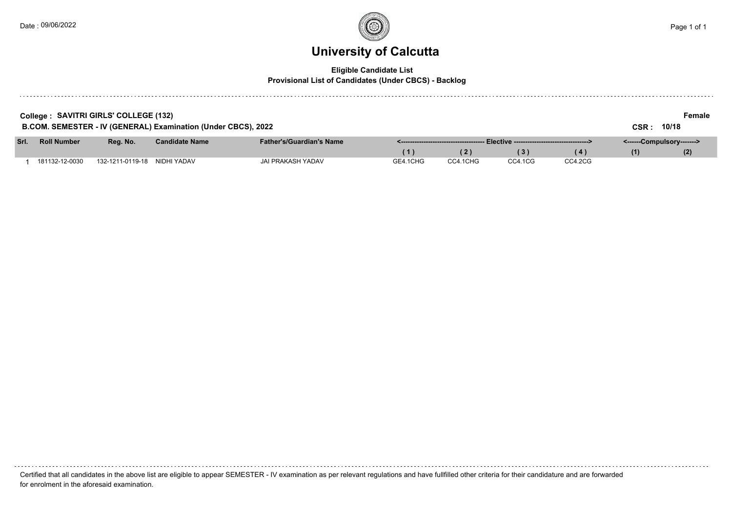### **University of Calcutta**

### **Eligible Candidate List**

**Provisional List of Candidates (Under CBCS) - Backlog**

|      | College : SAVITRI GIRLS' COLLEGE (132)<br>B.COM. SEMESTER - IV (GENERAL) Examination (Under CBCS), 2022 |          |                       |                                 |     |     |    |                           |     | Female<br>10/18 |
|------|---------------------------------------------------------------------------------------------------------|----------|-----------------------|---------------------------------|-----|-----|----|---------------------------|-----|-----------------|
| Srl. | <b>Roll Number</b>                                                                                      | Rea. No. | <b>Candidate Name</b> | <b>Father's/Guardian's Name</b> |     |     |    | <------Compulsory-------> |     |                 |
|      |                                                                                                         |          |                       |                                 | (1) | (2) | 3) | (4)                       | (1) | (2)             |

1 181132-12-0030 132-1211-0119-18 NIDHI YADAV JAI PRAKASH YADAV GE4.1CHG CC4.1CHG CC4.1CG CC4.2CG

Certified that all candidates in the above list are eligible to appear SEMESTER - IV examination as per relevant regulations and have fullfilled other criteria for their candidature and are forwarded for enrolment in the aforesaid examination.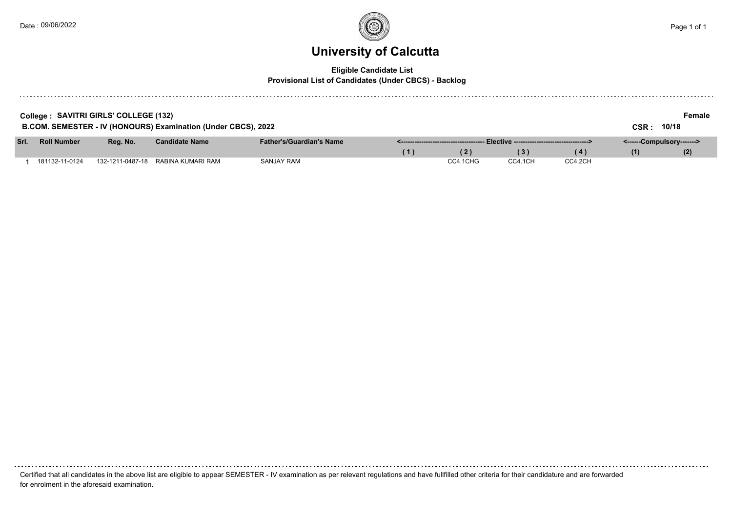### **University of Calcutta**

#### **Eligible Candidate List**

#### **Provisional List of Candidates (Under CBCS) - Backlog**

| College: SAVITRI GIRLS' COLLEGE (132)<br>B.COM. SEMESTER - IV (HONOURS) Examination (Under CBCS), 2022<br>CSR: |                    |          |                                    |                                 |     |          |         |         |                           | Female<br>10/18 |  |
|----------------------------------------------------------------------------------------------------------------|--------------------|----------|------------------------------------|---------------------------------|-----|----------|---------|---------|---------------------------|-----------------|--|
| Srl.                                                                                                           | <b>Roll Number</b> | Rea. No. | <b>Candidate Name</b>              | <b>Father's/Guardian's Name</b> |     |          |         |         | <------Compulsory-------> |                 |  |
|                                                                                                                |                    |          |                                    |                                 | (1) | (2)      | (3)     | (4)     | (1)                       | (2)             |  |
|                                                                                                                | 181132-11-0124     |          | 132-1211-0487-18 RABINA KUMARI RAM | <b>SANJAY RAM</b>               |     | CC4.1CHG | CC4.1CH | CC4.2CH |                           |                 |  |

Certified that all candidates in the above list are eligible to appear SEMESTER - IV examination as per relevant regulations and have fullfilled other criteria for their candidature and are forwarded for enrolment in the aforesaid examination.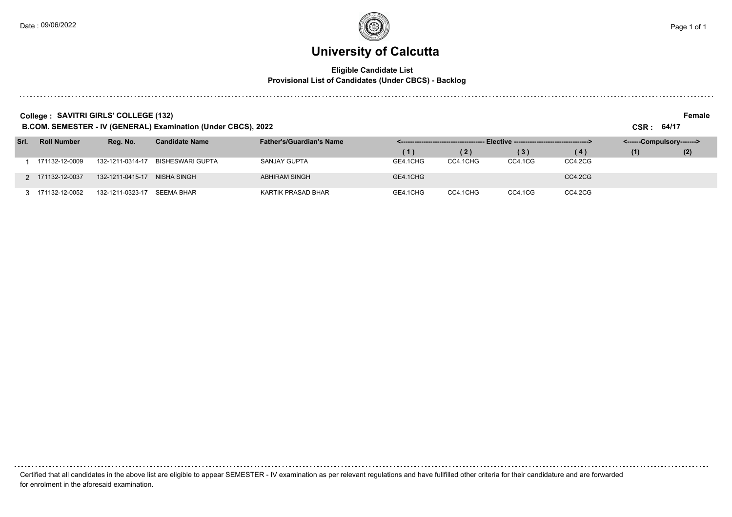#### **Eligible Candidate List Provisional List of Candidates (Under CBCS) - Backlog**

**College :** SAVITRI GIRLS' COLLEGE (132) Female

**B.COM. SEMESTER - IV (GENERAL) Examination (Under CBCS), 2022 CSR : 64/17**

| Srl. | <b>Roll Number</b> | Reg. No.         | <b>Candidate Name</b> | <b>Father's/Guardian's Name</b> |          |          |         |         | <------Compulsory-------> |     |  |
|------|--------------------|------------------|-----------------------|---------------------------------|----------|----------|---------|---------|---------------------------|-----|--|
|      |                    |                  |                       |                                 |          | (2)      | (3)     | (4)     | (1)                       | (2) |  |
|      | 171132-12-0009     | 132-1211-0314-17 | BISHESWARI GUPTA      | SANJAY GUPTA                    | GE4.1CHG | CC4.1CHG | CC4.1CG | CC4.2CG |                           |     |  |
|      | 2 171132-12-0037   | 132-1211-0415-17 | NISHA SINGH           | <b>ABHIRAM SINGH</b>            | GE4.1CHG |          |         | CC4.2CG |                           |     |  |
|      | 3 171132-12-0052   | 132-1211-0323-17 | SEEMA BHAR            | KARTIK PRASAD BHAR              | GE4.1CHG | CC4.1CHG | CC4.1CG | CC4.2CG |                           |     |  |

| Certified that all candidates in the above list are eligible to appear SEMESTER - IV examination as per relevant regulations and have fullfilled other criteria for their candidature and are forwarded |
|---------------------------------------------------------------------------------------------------------------------------------------------------------------------------------------------------------|
| for enrolment in the aforesaid examination.                                                                                                                                                             |

Date : 09/06/2022 Page 1 of 1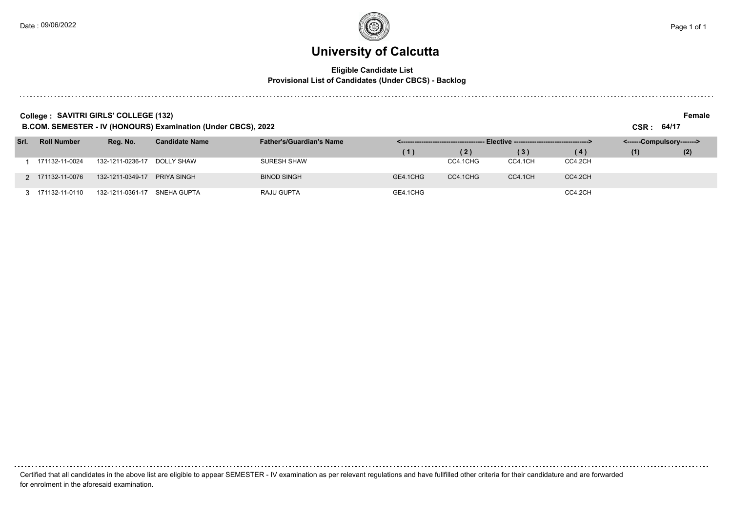. . . . . . . .

### **University of Calcutta**

#### **Eligible Candidate List Provisional List of Candidates (Under CBCS) - Backlog**

**College :** SAVITRI GIRLS' COLLEGE (132) Female

**B.COM. SEMESTER - IV (HONOURS) Examination (Under CBCS), 2022 CSR : 64/17**

| Srl. | <b>Roll Number</b> | Reg. No.         | <b>Candidate Name</b> | <b>Father's/Guardian's Name</b> | Elective ----------------------------------> |          |         |         | <------Compulsory-------> |     |  |
|------|--------------------|------------------|-----------------------|---------------------------------|----------------------------------------------|----------|---------|---------|---------------------------|-----|--|
|      |                    |                  |                       |                                 | Ί,                                           | (2)      | (3)     | (4)     | (1)                       | (2) |  |
|      | 171132-11-0024     | 132-1211-0236-17 | DOLLY SHAW            | <b>SURESH SHAW</b>              |                                              | CC4.1CHG | CC4.1CH | CC4.2CH |                           |     |  |
|      | 2 171132-11-0076   | 132-1211-0349-17 | PRIYA SINGH           | <b>BINOD SINGH</b>              | GE4.1CHG                                     | CC4.1CHG | CC4.1CH | CC4.2CH |                           |     |  |
|      | 3 171132-11-0110   | 132-1211-0361-17 | SNEHA GUPTA           | RAJU GUPTA                      | GE4.1CHG                                     |          |         | CC4.2CH |                           |     |  |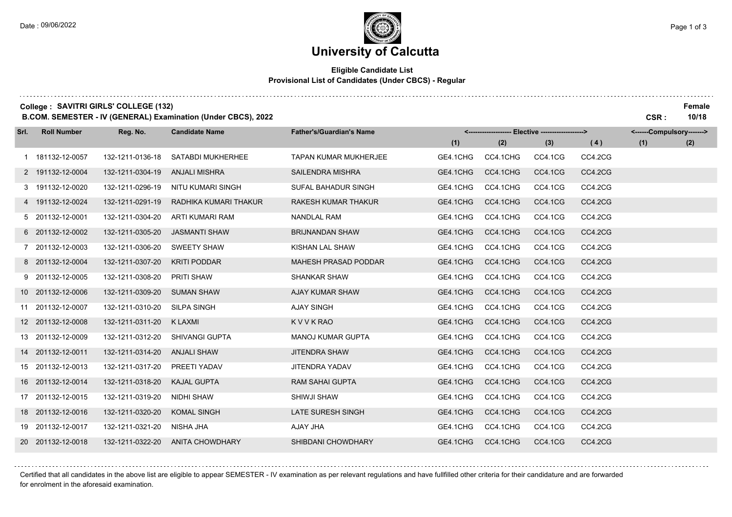#### **Eligible Candidate List Provisional List of Candidates (Under CBCS) - Regular**

**College :** SAVITRI GIRLS' COLLEGE (132) Female

**B.COM. SEMESTER - IV (GENERAL) Examination (Under CBCS), 2022 CSR : 10/18**

| Srl. | <b>Roll Number</b> | Reg. No.         | <b>Candidate Name</b>  | <b>Father's/Guardian's Name</b> | <------------------- Elective ------------------> |          |         |         |     | <------Compulsory-------> |  |
|------|--------------------|------------------|------------------------|---------------------------------|---------------------------------------------------|----------|---------|---------|-----|---------------------------|--|
|      |                    |                  |                        |                                 | (1)                                               | (2)      | (3)     | (4)     | (1) | (2)                       |  |
|      | 1 181132-12-0057   | 132-1211-0136-18 | SATABDI MUKHERHEE      | <b>TAPAN KUMAR MUKHERJEE</b>    | GE4.1CHG                                          | CC4.1CHG | CC4.1CG | CC4.2CG |     |                           |  |
|      | 2 191132-12-0004   | 132-1211-0304-19 | <b>ANJALI MISHRA</b>   | <b>SAILENDRA MISHRA</b>         | GE4.1CHG                                          | CC4.1CHG | CC4.1CG | CC4.2CG |     |                           |  |
|      | 3 191132-12-0020   | 132-1211-0296-19 | NITU KUMARI SINGH      | SUFAL BAHADUR SINGH             | GE4.1CHG                                          | CC4.1CHG | CC4.1CG | CC4.2CG |     |                           |  |
|      | 4 191132-12-0024   | 132-1211-0291-19 | RADHIKA KUMARI THAKUR  | <b>RAKESH KUMAR THAKUR</b>      | GE4.1CHG                                          | CC4.1CHG | CC4.1CG | CC4.2CG |     |                           |  |
|      | 5 201132-12-0001   | 132-1211-0304-20 | ARTI KUMARI RAM        | <b>NANDLAL RAM</b>              | GE4.1CHG                                          | CC4.1CHG | CC4.1CG | CC4.2CG |     |                           |  |
|      | 6 201132-12-0002   | 132-1211-0305-20 | <b>JASMANTI SHAW</b>   | <b>BRIJNANDAN SHAW</b>          | GE4.1CHG                                          | CC4.1CHG | CC4.1CG | CC4.2CG |     |                           |  |
|      | 7 201132-12-0003   | 132-1211-0306-20 | <b>SWEETY SHAW</b>     | KISHAN LAL SHAW                 | GE4.1CHG                                          | CC4.1CHG | CC4.1CG | CC4.2CG |     |                           |  |
|      | 8 201132-12-0004   | 132-1211-0307-20 | <b>KRITI PODDAR</b>    | <b>MAHESH PRASAD PODDAR</b>     | GE4.1CHG                                          | CC4.1CHG | CC4.1CG | CC4.2CG |     |                           |  |
|      | 9 201132-12-0005   | 132-1211-0308-20 | PRITI SHAW             | <b>SHANKAR SHAW</b>             | GE4.1CHG                                          | CC4.1CHG | CC4.1CG | CC4.2CG |     |                           |  |
|      | 10 201132-12-0006  | 132-1211-0309-20 | <b>SUMAN SHAW</b>      | <b>AJAY KUMAR SHAW</b>          | GE4.1CHG                                          | CC4.1CHG | CC4.1CG | CC4.2CG |     |                           |  |
|      | 11 201132-12-0007  | 132-1211-0310-20 | <b>SILPA SINGH</b>     | <b>AJAY SINGH</b>               | GE4.1CHG                                          | CC4.1CHG | CC4.1CG | CC4.2CG |     |                           |  |
|      | 12 201132-12-0008  | 132-1211-0311-20 | K LAXMI                | KVVKRAO                         | GE4.1CHG                                          | CC4.1CHG | CC4.1CG | CC4.2CG |     |                           |  |
|      | 13 201132-12-0009  | 132-1211-0312-20 | SHIVANGI GUPTA         | <b>MANOJ KUMAR GUPTA</b>        | GE4.1CHG                                          | CC4.1CHG | CC4.1CG | CC4.2CG |     |                           |  |
|      | 14 201132-12-0011  | 132-1211-0314-20 | <b>ANJALI SHAW</b>     | <b>JITENDRA SHAW</b>            | GE4.1CHG                                          | CC4.1CHG | CC4.1CG | CC4.2CG |     |                           |  |
|      | 15 201132-12-0013  | 132-1211-0317-20 | PREETI YADAV           | <b>JITENDRA YADAV</b>           | GE4.1CHG                                          | CC4.1CHG | CC4.1CG | CC4.2CG |     |                           |  |
|      | 16 201132-12-0014  | 132-1211-0318-20 | <b>KAJAL GUPTA</b>     | <b>RAM SAHAI GUPTA</b>          | GE4.1CHG                                          | CC4.1CHG | CC4.1CG | CC4.2CG |     |                           |  |
|      | 17 201132-12-0015  | 132-1211-0319-20 | NIDHI SHAW             | SHIWJI SHAW                     | GE4.1CHG                                          | CC4.1CHG | CC4.1CG | CC4.2CG |     |                           |  |
|      | 18 201132-12-0016  | 132-1211-0320-20 | <b>KOMAL SINGH</b>     | LATE SURESH SINGH               | GE4.1CHG                                          | CC4.1CHG | CC4.1CG | CC4.2CG |     |                           |  |
|      | 19 201132-12-0017  | 132-1211-0321-20 | NISHA JHA              | AJAY JHA                        | GE4.1CHG                                          | CC4.1CHG | CC4.1CG | CC4.2CG |     |                           |  |
|      | 20 201132-12-0018  | 132-1211-0322-20 | <b>ANITA CHOWDHARY</b> | SHIBDANI CHOWDHARY              | GE4.1CHG                                          | CC4.1CHG | CC4.1CG | CC4.2CG |     |                           |  |

Certified that all candidates in the above list are eligible to appear SEMESTER - IV examination as per relevant regulations and have fullfilled other criteria for their candidature and are forwarded for enrolment in the aforesaid examination.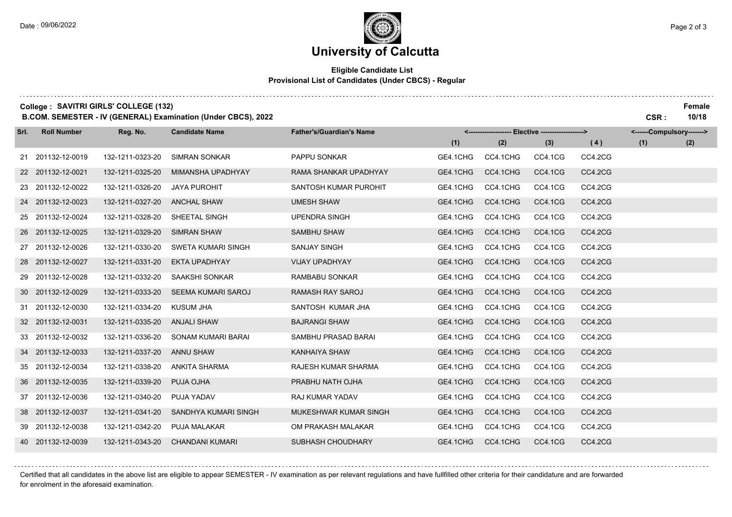. . . . . . . . . . . . . . . . . . .

## **University of Calcutta**

#### **Eligible Candidate List Provisional List of Candidates (Under CBCS) - Regular**

**College :** SAVITRI GIRLS' COLLEGE (132) Female

**B.COM. SEMESTER - IV (GENERAL) Examination (Under CBCS), 2022 CSR : 10/18**

| Srl. | <b>Roll Number</b> | Reg. No.         | <b>Candidate Name</b>     | <b>Father's/Guardian's Name</b> | <------------------- Elective ------------------> |          |         | <------Compulsory-------> |     |     |
|------|--------------------|------------------|---------------------------|---------------------------------|---------------------------------------------------|----------|---------|---------------------------|-----|-----|
|      |                    |                  |                           |                                 | (1)                                               | (2)      | (3)     | (4)                       | (1) | (2) |
|      | 21 201132-12-0019  | 132-1211-0323-20 | <b>SIMRAN SONKAR</b>      | PAPPU SONKAR                    | GE4.1CHG                                          | CC4.1CHG | CC4.1CG | CC4.2CG                   |     |     |
|      | 22 201132-12-0021  | 132-1211-0325-20 | MIMANSHA UPADHYAY         | RAMA SHANKAR UPADHYAY           | GE4.1CHG                                          | CC4.1CHG | CC4.1CG | CC4.2CG                   |     |     |
|      | 23 201132-12-0022  | 132-1211-0326-20 | <b>JAYA PUROHIT</b>       | SANTOSH KUMAR PUROHIT           | GE4.1CHG                                          | CC4.1CHG | CC4.1CG | CC4.2CG                   |     |     |
|      | 24 201132-12-0023  | 132-1211-0327-20 | <b>ANCHAL SHAW</b>        | <b>UMESH SHAW</b>               | GE4.1CHG                                          | CC4.1CHG | CC4.1CG | CC4.2CG                   |     |     |
|      | 25 201132-12-0024  | 132-1211-0328-20 | SHEETAL SINGH             | <b>UPENDRA SINGH</b>            | GE4.1CHG                                          | CC4.1CHG | CC4.1CG | CC4.2CG                   |     |     |
|      | 26 201132-12-0025  | 132-1211-0329-20 | <b>SIMRAN SHAW</b>        | SAMBHU SHAW                     | GE4.1CHG                                          | CC4.1CHG | CC4.1CG | CC4.2CG                   |     |     |
|      | 27 201132-12-0026  | 132-1211-0330-20 | SWETA KUMARI SINGH        | <b>SANJAY SINGH</b>             | GE4.1CHG                                          | CC4.1CHG | CC4.1CG | CC4.2CG                   |     |     |
|      | 28 201132-12-0027  | 132-1211-0331-20 | <b>EKTA UPADHYAY</b>      | <b>VIJAY UPADHYAY</b>           | GE4.1CHG                                          | CC4.1CHG | CC4.1CG | CC4.2CG                   |     |     |
|      | 29 201132-12-0028  | 132-1211-0332-20 | SAAKSHI SONKAR            | RAMBABU SONKAR                  | GE4.1CHG                                          | CC4.1CHG | CC4.1CG | CC4.2CG                   |     |     |
|      | 30 201132-12-0029  | 132-1211-0333-20 | <b>SEEMA KUMARI SAROJ</b> | <b>RAMASH RAY SAROJ</b>         | GE4.1CHG                                          | CC4.1CHG | CC4.1CG | CC4.2CG                   |     |     |
|      | 31 201132-12-0030  | 132-1211-0334-20 | <b>KUSUM JHA</b>          | SANTOSH KUMAR JHA               | GE4.1CHG                                          | CC4.1CHG | CC4.1CG | CC4.2CG                   |     |     |
|      | 32 201132-12-0031  | 132-1211-0335-20 | <b>ANJALI SHAW</b>        | <b>BAJRANGI SHAW</b>            | GE4.1CHG                                          | CC4.1CHG | CC4.1CG | CC4.2CG                   |     |     |
|      | 33 201132-12-0032  | 132-1211-0336-20 | SONAM KUMARI BARAI        | SAMBHU PRASAD BARAI             | GE4.1CHG                                          | CC4.1CHG | CC4.1CG | CC4.2CG                   |     |     |
|      | 34 201132-12-0033  | 132-1211-0337-20 | <b>ANNU SHAW</b>          | KANHAIYA SHAW                   | GE4.1CHG                                          | CC4.1CHG | CC4.1CG | CC4.2CG                   |     |     |
|      | 35 201132-12-0034  | 132-1211-0338-20 | <b>ANKITA SHARMA</b>      | RAJESH KUMAR SHARMA             | GE4.1CHG                                          | CC4.1CHG | CC4.1CG | CC4.2CG                   |     |     |
|      | 36 201132-12-0035  | 132-1211-0339-20 | PUJA OJHA                 | PRABHU NATH OJHA                | GE4.1CHG                                          | CC4.1CHG | CC4.1CG | CC4.2CG                   |     |     |
|      | 37 201132-12-0036  | 132-1211-0340-20 | PUJA YADAV                | RAJ KUMAR YADAV                 | GE4.1CHG                                          | CC4.1CHG | CC4.1CG | CC4.2CG                   |     |     |
|      | 38 201132-12-0037  | 132-1211-0341-20 | SANDHYA KUMARI SINGH      | MUKESHWAR KUMAR SINGH           | GE4.1CHG                                          | CC4.1CHG | CC4.1CG | CC4.2CG                   |     |     |
|      | 39 201132-12-0038  | 132-1211-0342-20 | <b>PUJA MALAKAR</b>       | OM PRAKASH MALAKAR              | GE4.1CHG                                          | CC4.1CHG | CC4.1CG | CC4.2CG                   |     |     |
|      | 40 201132-12-0039  | 132-1211-0343-20 | <b>CHANDANI KUMARI</b>    | SUBHASH CHOUDHARY               | GE4.1CHG                                          | CC4.1CHG | CC4.1CG | CC4.2CG                   |     |     |

Certified that all candidates in the above list are eligible to appear SEMESTER - IV examination as per relevant regulations and have fullfilled other criteria for their candidature and are forwarded for enrolment in the aforesaid examination.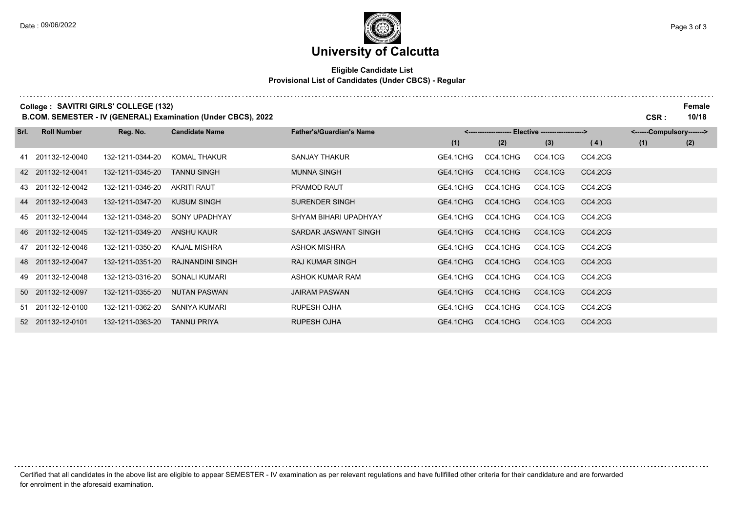## **University of Calcutta**

#### **Eligible Candidate List Provisional List of Candidates (Under CBCS) - Regular**

**College :** SAVITRI GIRLS' COLLEGE (132) Female

**B.COM. SEMESTER - IV (GENERAL) Examination (Under CBCS), 2022 CSR : 10/18**

| Srl. | <b>Roll Number</b> | Reg. No.         | <b>Candidate Name</b>   | <b>Father's/Guardian's Name</b> | <-------------------- Elective -------------------> |          |         |         | <------Compulsory-------> |     |  |
|------|--------------------|------------------|-------------------------|---------------------------------|-----------------------------------------------------|----------|---------|---------|---------------------------|-----|--|
|      |                    |                  |                         |                                 | (1)                                                 | (2)      | (3)     | (4)     | (1)                       | (2) |  |
|      | 41 201132-12-0040  | 132-1211-0344-20 | <b>KOMAL THAKUR</b>     | SANJAY THAKUR                   | GE4.1CHG                                            | CC4.1CHG | CC4.1CG | CC4.2CG |                           |     |  |
|      | 42 201132-12-0041  | 132-1211-0345-20 | TANNU SINGH             | <b>MUNNA SINGH</b>              | GE4.1CHG                                            | CC4.1CHG | CC4.1CG | CC4.2CG |                           |     |  |
|      | 43 201132-12-0042  | 132-1211-0346-20 | <b>AKRITI RAUT</b>      | PRAMOD RAUT                     | GE4.1CHG                                            | CC4.1CHG | CC4.1CG | CC4.2CG |                           |     |  |
|      | 44 201132-12-0043  | 132-1211-0347-20 | <b>KUSUM SINGH</b>      | <b>SURENDER SINGH</b>           | GE4.1CHG                                            | CC4.1CHG | CC4.1CG | CC4.2CG |                           |     |  |
|      | 45 201132-12-0044  | 132-1211-0348-20 | <b>SONY UPADHYAY</b>    | SHYAM BIHARI UPADHYAY           | GE4.1CHG                                            | CC4.1CHG | CC4.1CG | CC4.2CG |                           |     |  |
|      | 46 201132-12-0045  | 132-1211-0349-20 | ANSHU KAUR              | SARDAR JASWANT SINGH            | GE4.1CHG                                            | CC4.1CHG | CC4.1CG | CC4.2CG |                           |     |  |
|      | 47 201132-12-0046  | 132-1211-0350-20 | KAJAL MISHRA            | ASHOK MISHRA                    | GE4.1CHG                                            | CC4.1CHG | CC4.1CG | CC4.2CG |                           |     |  |
|      | 48 201132-12-0047  | 132-1211-0351-20 | <b>RAJNANDINI SINGH</b> | <b>RAJ KUMAR SINGH</b>          | GE4.1CHG                                            | CC4.1CHG | CC4.1CG | CC4.2CG |                           |     |  |
|      | 49 201132-12-0048  | 132-1213-0316-20 | SONALI KUMARI           | ASHOK KUMAR RAM                 | GE4.1CHG                                            | CC4.1CHG | CC4.1CG | CC4.2CG |                           |     |  |
|      | 50 201132-12-0097  | 132-1211-0355-20 | <b>NUTAN PASWAN</b>     | <b>JAIRAM PASWAN</b>            | GE4.1CHG                                            | CC4.1CHG | CC4.1CG | CC4.2CG |                           |     |  |
|      | 51 201132-12-0100  | 132-1211-0362-20 | SANIYA KUMARI           | <b>RUPESH OJHA</b>              | GE4.1CHG                                            | CC4.1CHG | CC4.1CG | CC4.2CG |                           |     |  |
|      | 52 201132-12-0101  | 132-1211-0363-20 | TANNU PRIYA             | <b>RUPESH OJHA</b>              | GE4.1CHG                                            | CC4.1CHG | CC4.1CG | CC4.2CG |                           |     |  |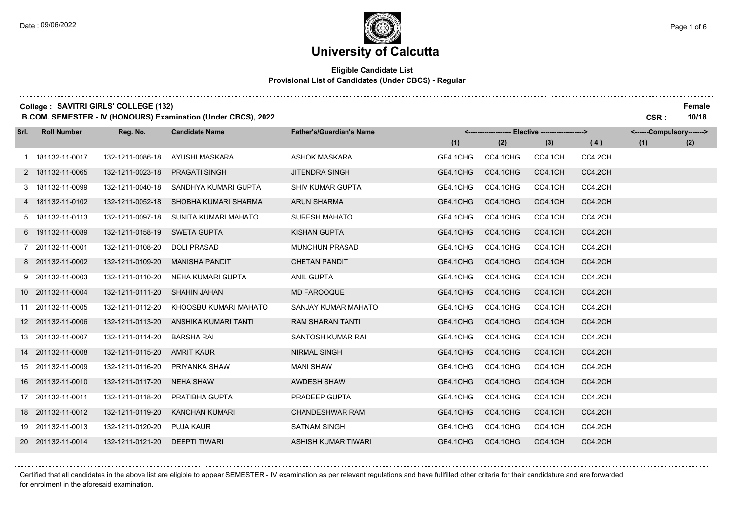#### **Eligible Candidate List Provisional List of Candidates (Under CBCS) - Regular**

**College :** SAVITRI GIRLS' COLLEGE (132) Female

**B.COM. SEMESTER - IV (HONOURS) Examination (Under CBCS), 2022 CSR : 10/18**

| Srl. | <b>Roll Number</b> | Reg. No.         | <b>Candidate Name</b> | <b>Father's/Guardian's Name</b> | <------------------- Elective -------------------> |          |         | <------Compulsory-------> |     |     |
|------|--------------------|------------------|-----------------------|---------------------------------|----------------------------------------------------|----------|---------|---------------------------|-----|-----|
|      |                    |                  |                       |                                 | (1)                                                | (2)      | (3)     | (4)                       | (1) | (2) |
|      | 1 181132-11-0017   | 132-1211-0086-18 | AYUSHI MASKARA        | <b>ASHOK MASKARA</b>            | GE4.1CHG                                           | CC4.1CHG | CC4.1CH | CC4.2CH                   |     |     |
|      | 2 181132-11-0065   | 132-1211-0023-18 | <b>PRAGATI SINGH</b>  | <b>JITENDRA SINGH</b>           | GE4.1CHG                                           | CC4.1CHG | CC4.1CH | CC4.2CH                   |     |     |
|      | 3 181132-11-0099   | 132-1211-0040-18 | SANDHYA KUMARI GUPTA  | <b>SHIV KUMAR GUPTA</b>         | GE4.1CHG                                           | CC4.1CHG | CC4.1CH | CC4.2CH                   |     |     |
|      | 4 181132-11-0102   | 132-1211-0052-18 | SHOBHA KUMARI SHARMA  | <b>ARUN SHARMA</b>              | GE4.1CHG                                           | CC4.1CHG | CC4.1CH | CC4.2CH                   |     |     |
|      | 5 181132-11-0113   | 132-1211-0097-18 | SUNITA KUMARI MAHATO  | <b>SURESH MAHATO</b>            | GE4.1CHG                                           | CC4.1CHG | CC4.1CH | CC4.2CH                   |     |     |
|      | 6 191132-11-0089   | 132-1211-0158-19 | <b>SWETA GUPTA</b>    | <b>KISHAN GUPTA</b>             | GE4.1CHG                                           | CC4.1CHG | CC4.1CH | CC4.2CH                   |     |     |
|      | 7 201132-11-0001   | 132-1211-0108-20 | <b>DOLI PRASAD</b>    | <b>MUNCHUN PRASAD</b>           | GE4.1CHG                                           | CC4.1CHG | CC4.1CH | CC4.2CH                   |     |     |
|      | 8 201132-11-0002   | 132-1211-0109-20 | <b>MANISHA PANDIT</b> | <b>CHETAN PANDIT</b>            | GE4.1CHG                                           | CC4.1CHG | CC4.1CH | CC4.2CH                   |     |     |
|      | 9 201132-11-0003   | 132-1211-0110-20 | NEHA KUMARI GUPTA     | ANIL GUPTA                      | GE4.1CHG                                           | CC4.1CHG | CC4.1CH | CC4.2CH                   |     |     |
|      | 10 201132-11-0004  | 132-1211-0111-20 | <b>SHAHIN JAHAN</b>   | <b>MD FAROOQUE</b>              | GE4.1CHG                                           | CC4.1CHG | CC4.1CH | CC4.2CH                   |     |     |
|      | 11 201132-11-0005  | 132-1211-0112-20 | KHOOSBU KUMARI MAHATO | SANJAY KUMAR MAHATO             | GE4.1CHG                                           | CC4.1CHG | CC4.1CH | CC4.2CH                   |     |     |
|      | 12 201132-11-0006  | 132-1211-0113-20 | ANSHIKA KUMARI TANTI  | <b>RAM SHARAN TANTI</b>         | GE4.1CHG                                           | CC4.1CHG | CC4.1CH | CC4.2CH                   |     |     |
|      | 13 201132-11-0007  | 132-1211-0114-20 | <b>BARSHA RAI</b>     | SANTOSH KUMAR RAI               | GE4.1CHG                                           | CC4.1CHG | CC4.1CH | CC4.2CH                   |     |     |
|      | 14 201132-11-0008  | 132-1211-0115-20 | <b>AMRIT KAUR</b>     | <b>NIRMAL SINGH</b>             | GE4.1CHG                                           | CC4.1CHG | CC4.1CH | CC4.2CH                   |     |     |
|      | 15 201132-11-0009  | 132-1211-0116-20 | PRIYANKA SHAW         | <b>MANI SHAW</b>                | GE4.1CHG                                           | CC4.1CHG | CC4.1CH | CC4.2CH                   |     |     |
|      | 16 201132-11-0010  | 132-1211-0117-20 | <b>NEHA SHAW</b>      | AWDESH SHAW                     | GE4.1CHG                                           | CC4.1CHG | CC4.1CH | CC4.2CH                   |     |     |
|      | 17 201132-11-0011  | 132-1211-0118-20 | PRATIBHA GUPTA        | PRADEEP GUPTA                   | GE4.1CHG                                           | CC4.1CHG | CC4.1CH | CC4.2CH                   |     |     |
|      | 18 201132-11-0012  | 132-1211-0119-20 | <b>KANCHAN KUMARI</b> | <b>CHANDESHWAR RAM</b>          | GE4.1CHG                                           | CC4.1CHG | CC4.1CH | CC4.2CH                   |     |     |
|      | 19 201132-11-0013  | 132-1211-0120-20 | <b>PUJA KAUR</b>      | <b>SATNAM SINGH</b>             | GE4.1CHG                                           | CC4.1CHG | CC4.1CH | CC4.2CH                   |     |     |
|      | 20 201132-11-0014  | 132-1211-0121-20 | <b>DEEPTI TIWARI</b>  | ASHISH KUMAR TIWARI             | GE4.1CHG                                           | CC4.1CHG | CC4.1CH | CC4.2CH                   |     |     |

Certified that all candidates in the above list are eligible to appear SEMESTER - IV examination as per relevant regulations and have fullfilled other criteria for their candidature and are forwarded for enrolment in the aforesaid examination.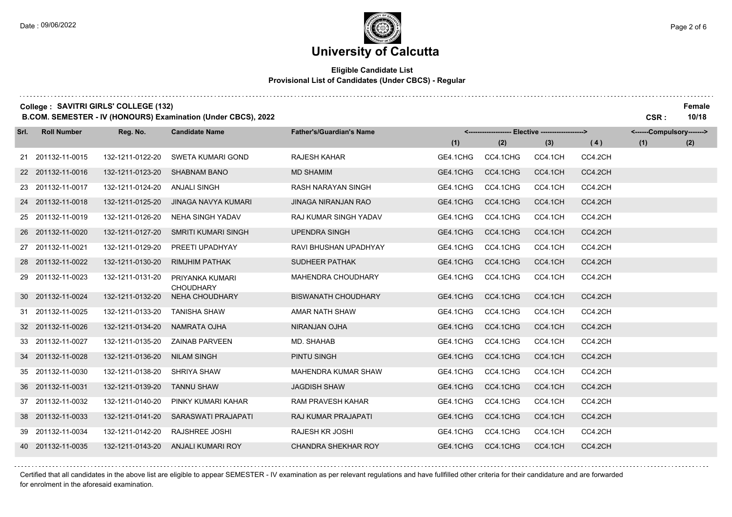and a strategic and

. . . . . . . . .

## **University of Calcutta**

#### **Eligible Candidate List Provisional List of Candidates (Under CBCS) - Regular**

**College :** SAVITRI GIRLS' COLLEGE (132) Female

**B.COM. SEMESTER - IV (HONOURS) Examination (Under CBCS), 2022 CSR : 10/18**

| Srl. | <b>Roll Number</b> | Reg. No.         | <b>Candidate Name</b>               | <b>Father's/Guardian's Name</b> | <------------------- Elective ------------------> |          |         |         |     | <------Compulsory-------> |  |
|------|--------------------|------------------|-------------------------------------|---------------------------------|---------------------------------------------------|----------|---------|---------|-----|---------------------------|--|
|      |                    |                  |                                     |                                 | (1)                                               | (2)      | (3)     | (4)     | (1) | (2)                       |  |
|      | 21 201132-11-0015  | 132-1211-0122-20 | <b>SWETA KUMARI GOND</b>            | <b>RAJESH KAHAR</b>             | GE4.1CHG                                          | CC4.1CHG | CC4.1CH | CC4.2CH |     |                           |  |
|      | 22 201132-11-0016  | 132-1211-0123-20 | <b>SHABNAM BANO</b>                 | <b>MD SHAMIM</b>                | GE4.1CHG                                          | CC4.1CHG | CC4.1CH | CC4.2CH |     |                           |  |
|      | 23 201132-11-0017  | 132-1211-0124-20 | ANJALI SINGH                        | <b>RASH NARAYAN SINGH</b>       | GE4.1CHG                                          | CC4.1CHG | CC4.1CH | CC4.2CH |     |                           |  |
|      | 24 201132-11-0018  | 132-1211-0125-20 | <b>JINAGA NAVYA KUMARI</b>          | <b>JINAGA NIRANJAN RAO</b>      | GE4.1CHG                                          | CC4.1CHG | CC4.1CH | CC4.2CH |     |                           |  |
|      | 25 201132-11-0019  | 132-1211-0126-20 | <b>NEHA SINGH YADAV</b>             | RAJ KUMAR SINGH YADAV           | GE4.1CHG                                          | CC4.1CHG | CC4.1CH | CC4.2CH |     |                           |  |
|      | 26 201132-11-0020  | 132-1211-0127-20 | <b>SMRITI KUMARI SINGH</b>          | <b>UPENDRA SINGH</b>            | GE4.1CHG                                          | CC4.1CHG | CC4.1CH | CC4.2CH |     |                           |  |
|      | 27 201132-11-0021  | 132-1211-0129-20 | PREETI UPADHYAY                     | RAVI BHUSHAN UPADHYAY           | GE4.1CHG                                          | CC4.1CHG | CC4.1CH | CC4.2CH |     |                           |  |
|      | 28 201132-11-0022  | 132-1211-0130-20 | <b>RIMJHIM PATHAK</b>               | <b>SUDHEER PATHAK</b>           | GE4.1CHG                                          | CC4.1CHG | CC4.1CH | CC4.2CH |     |                           |  |
|      | 29 201132-11-0023  | 132-1211-0131-20 | PRIYANKA KUMARI<br><b>CHOUDHARY</b> | MAHENDRA CHOUDHARY              | GE4.1CHG                                          | CC4.1CHG | CC4.1CH | CC4.2CH |     |                           |  |
|      | 30 201132-11-0024  | 132-1211-0132-20 | <b>NEHA CHOUDHARY</b>               | <b>BISWANATH CHOUDHARY</b>      | GE4.1CHG                                          | CC4.1CHG | CC4.1CH | CC4.2CH |     |                           |  |
|      | 31 201132-11-0025  | 132-1211-0133-20 | <b>TANISHA SHAW</b>                 | AMAR NATH SHAW                  | GE4.1CHG                                          | CC4.1CHG | CC4.1CH | CC4.2CH |     |                           |  |
|      | 32 201132-11-0026  | 132-1211-0134-20 | <b>NAMRATA OJHA</b>                 | NIRANJAN OJHA                   | GE4.1CHG                                          | CC4.1CHG | CC4.1CH | CC4.2CH |     |                           |  |
|      | 33 201132-11-0027  | 132-1211-0135-20 | <b>ZAINAB PARVEEN</b>               | MD. SHAHAB                      | GE4.1CHG                                          | CC4.1CHG | CC4.1CH | CC4.2CH |     |                           |  |
|      | 34 201132-11-0028  | 132-1211-0136-20 | <b>NILAM SINGH</b>                  | PINTU SINGH                     | GE4.1CHG                                          | CC4.1CHG | CC4.1CH | CC4.2CH |     |                           |  |
|      | 35 201132-11-0030  | 132-1211-0138-20 | SHRIYA SHAW                         | MAHENDRA KUMAR SHAW             | GE4.1CHG                                          | CC4.1CHG | CC4.1CH | CC4.2CH |     |                           |  |
|      | 36 201132-11-0031  | 132-1211-0139-20 | <b>TANNU SHAW</b>                   | <b>JAGDISH SHAW</b>             | GE4.1CHG                                          | CC4.1CHG | CC4.1CH | CC4.2CH |     |                           |  |
|      | 37 201132-11-0032  | 132-1211-0140-20 | PINKY KUMARI KAHAR                  | <b>RAM PRAVESH KAHAR</b>        | GE4.1CHG                                          | CC4.1CHG | CC4.1CH | CC4.2CH |     |                           |  |
|      | 38 201132-11-0033  | 132-1211-0141-20 | SARASWATI PRAJAPATI                 | RAJ KUMAR PRAJAPATI             | GE4.1CHG                                          | CC4.1CHG | CC4.1CH | CC4.2CH |     |                           |  |
|      | 39 201132-11-0034  | 132-1211-0142-20 | RAJSHREE JOSHI                      | RAJESH KR JOSHI                 | GE4.1CHG                                          | CC4.1CHG | CC4.1CH | CC4.2CH |     |                           |  |
|      | 40 201132-11-0035  | 132-1211-0143-20 | <b>ANJALI KUMARI ROY</b>            | <b>CHANDRA SHEKHAR ROY</b>      | GE4.1CHG                                          | CC4.1CHG | CC4.1CH | CC4.2CH |     |                           |  |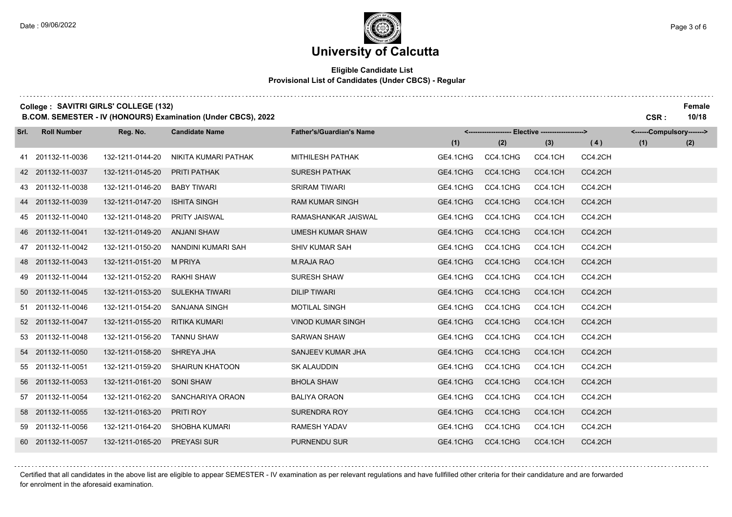#### **Eligible Candidate List Provisional List of Candidates (Under CBCS) - Regular**

**College :** SAVITRI GIRLS' COLLEGE (132) Female

**B.COM. SEMESTER - IV (HONOURS) Examination (Under CBCS), 2022 CSR : 10/18**

| Srl. | <b>Roll Number</b> | Reg. No.         | <b>Candidate Name</b>  | <b>Father's/Guardian's Name</b> | <------------------- Elective ------------------> |          |         |         |     | <------Compulsory-------> |  |
|------|--------------------|------------------|------------------------|---------------------------------|---------------------------------------------------|----------|---------|---------|-----|---------------------------|--|
|      |                    |                  |                        |                                 | (1)                                               | (2)      | (3)     | (4)     | (1) | (2)                       |  |
|      | 41 201132-11-0036  | 132-1211-0144-20 | NIKITA KUMARI PATHAK   | MITHILESH PATHAK                | GE4.1CHG                                          | CC4.1CHG | CC4.1CH | CC4.2CH |     |                           |  |
|      | 42 201132-11-0037  | 132-1211-0145-20 | <b>PRITI PATHAK</b>    | <b>SURESH PATHAK</b>            | GE4.1CHG                                          | CC4.1CHG | CC4.1CH | CC4.2CH |     |                           |  |
|      | 43 201132-11-0038  | 132-1211-0146-20 | <b>BABY TIWARI</b>     | <b>SRIRAM TIWARI</b>            | GE4.1CHG                                          | CC4.1CHG | CC4.1CH | CC4.2CH |     |                           |  |
|      | 44 201132-11-0039  | 132-1211-0147-20 | <b>ISHITA SINGH</b>    | <b>RAM KUMAR SINGH</b>          | GE4.1CHG                                          | CC4.1CHG | CC4.1CH | CC4.2CH |     |                           |  |
|      | 45 201132-11-0040  | 132-1211-0148-20 | <b>PRITY JAISWAL</b>   | RAMASHANKAR JAISWAL             | GE4.1CHG                                          | CC4.1CHG | CC4.1CH | CC4.2CH |     |                           |  |
|      | 46 201132-11-0041  | 132-1211-0149-20 | <b>ANJANI SHAW</b>     | <b>UMESH KUMAR SHAW</b>         | GE4.1CHG                                          | CC4.1CHG | CC4.1CH | CC4.2CH |     |                           |  |
|      | 47 201132-11-0042  | 132-1211-0150-20 | NANDINI KUMARI SAH     | SHIV KUMAR SAH                  | GE4.1CHG                                          | CC4.1CHG | CC4.1CH | CC4.2CH |     |                           |  |
|      | 48 201132-11-0043  | 132-1211-0151-20 | M PRIYA                | <b>M.RAJA RAO</b>               | GE4.1CHG                                          | CC4.1CHG | CC4.1CH | CC4.2CH |     |                           |  |
|      | 49 201132-11-0044  | 132-1211-0152-20 | RAKHI SHAW             | <b>SURESH SHAW</b>              | GE4.1CHG                                          | CC4.1CHG | CC4.1CH | CC4.2CH |     |                           |  |
|      | 50 201132-11-0045  | 132-1211-0153-20 | <b>SULEKHA TIWARI</b>  | <b>DILIP TIWARI</b>             | GE4.1CHG                                          | CC4.1CHG | CC4.1CH | CC4.2CH |     |                           |  |
|      | 51 201132-11-0046  | 132-1211-0154-20 | SANJANA SINGH          | <b>MOTILAL SINGH</b>            | GE4.1CHG                                          | CC4.1CHG | CC4.1CH | CC4.2CH |     |                           |  |
|      | 52 201132-11-0047  | 132-1211-0155-20 | RITIKA KUMARI          | <b>VINOD KUMAR SINGH</b>        | GE4.1CHG                                          | CC4.1CHG | CC4.1CH | CC4.2CH |     |                           |  |
|      | 53 201132-11-0048  | 132-1211-0156-20 | <b>TANNU SHAW</b>      | <b>SARWAN SHAW</b>              | GE4.1CHG                                          | CC4.1CHG | CC4.1CH | CC4.2CH |     |                           |  |
|      | 54 201132-11-0050  | 132-1211-0158-20 | SHREYA JHA             | SANJEEV KUMAR JHA               | GE4.1CHG                                          | CC4.1CHG | CC4.1CH | CC4.2CH |     |                           |  |
|      | 55 201132-11-0051  | 132-1211-0159-20 | <b>SHAIRUN KHATOON</b> | <b>SK ALAUDDIN</b>              | GE4.1CHG                                          | CC4.1CHG | CC4.1CH | CC4.2CH |     |                           |  |
|      | 56 201132-11-0053  | 132-1211-0161-20 | <b>SONI SHAW</b>       | <b>BHOLA SHAW</b>               | GE4.1CHG                                          | CC4.1CHG | CC4.1CH | CC4.2CH |     |                           |  |
|      | 57 201132-11-0054  | 132-1211-0162-20 | SANCHARIYA ORAON       | <b>BALIYA ORAON</b>             | GE4.1CHG                                          | CC4.1CHG | CC4.1CH | CC4.2CH |     |                           |  |
|      | 58 201132-11-0055  | 132-1211-0163-20 | PRITI ROY              | <b>SURENDRA ROY</b>             | GE4.1CHG                                          | CC4.1CHG | CC4.1CH | CC4.2CH |     |                           |  |
|      | 59 201132-11-0056  | 132-1211-0164-20 | <b>SHOBHA KUMARI</b>   | <b>RAMESH YADAV</b>             | GE4.1CHG                                          | CC4.1CHG | CC4.1CH | CC4.2CH |     |                           |  |
|      | 60 201132-11-0057  | 132-1211-0165-20 | <b>PREYASI SUR</b>     | <b>PURNENDU SUR</b>             | GE4.1CHG                                          | CC4.1CHG | CC4.1CH | CC4.2CH |     |                           |  |

Certified that all candidates in the above list are eligible to appear SEMESTER - IV examination as per relevant regulations and have fullfilled other criteria for their candidature and are forwarded for enrolment in the aforesaid examination.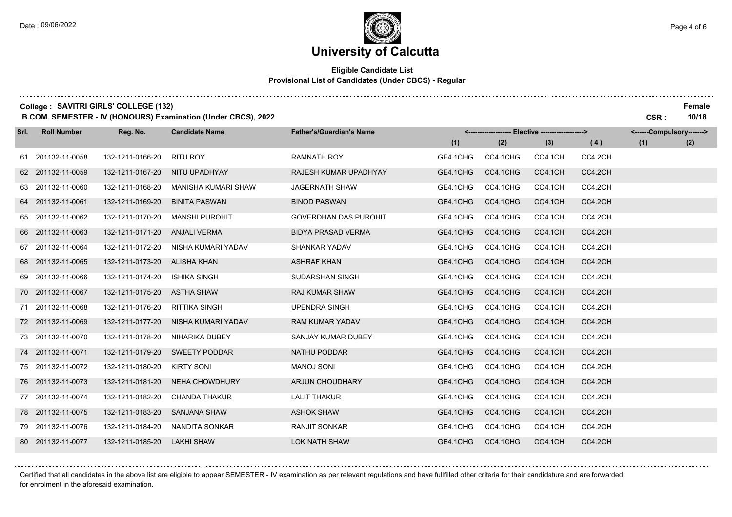#### **Eligible Candidate List Provisional List of Candidates (Under CBCS) - Regular**

**College :** SAVITRI GIRLS' COLLEGE (132) Female

**B.COM. SEMESTER - IV (HONOURS) Examination (Under CBCS), 2022 CSR : 10/18**

| Srl. | <b>Roll Number</b> | Reg. No.         | <b>Candidate Name</b> | <b>Father's/Guardian's Name</b> | <-------------------- Elective -------------------> |          |         | <------Compulsory-------> |     |     |
|------|--------------------|------------------|-----------------------|---------------------------------|-----------------------------------------------------|----------|---------|---------------------------|-----|-----|
|      |                    |                  |                       |                                 | (1)                                                 | (2)      | (3)     | (4)                       | (1) | (2) |
|      | 61 201132-11-0058  | 132-1211-0166-20 | RITU ROY              | <b>RAMNATH ROY</b>              | GE4.1CHG                                            | CC4.1CHG | CC4.1CH | CC4.2CH                   |     |     |
|      | 62 201132-11-0059  | 132-1211-0167-20 | NITU UPADHYAY         | RAJESH KUMAR UPADHYAY           | GE4.1CHG                                            | CC4.1CHG | CC4.1CH | CC4.2CH                   |     |     |
|      | 63 201132-11-0060  | 132-1211-0168-20 | MANISHA KUMARI SHAW   | <b>JAGERNATH SHAW</b>           | GE4.1CHG                                            | CC4.1CHG | CC4.1CH | CC4.2CH                   |     |     |
|      | 64 201132-11-0061  | 132-1211-0169-20 | <b>BINITA PASWAN</b>  | <b>BINOD PASWAN</b>             | GE4.1CHG                                            | CC4.1CHG | CC4.1CH | CC4.2CH                   |     |     |
|      | 65 201132-11-0062  | 132-1211-0170-20 | <b>MANSHI PUROHIT</b> | <b>GOVERDHAN DAS PUROHIT</b>    | GE4.1CHG                                            | CC4.1CHG | CC4.1CH | CC4.2CH                   |     |     |
|      | 66 201132-11-0063  | 132-1211-0171-20 | <b>ANJALI VERMA</b>   | <b>BIDYA PRASAD VERMA</b>       | GE4.1CHG                                            | CC4.1CHG | CC4.1CH | CC4.2CH                   |     |     |
|      | 67 201132-11-0064  | 132-1211-0172-20 | NISHA KUMARI YADAV    | <b>SHANKAR YADAV</b>            | GE4.1CHG                                            | CC4.1CHG | CC4.1CH | CC4.2CH                   |     |     |
|      | 68 201132-11-0065  | 132-1211-0173-20 | <b>ALISHA KHAN</b>    | <b>ASHRAF KHAN</b>              | GE4.1CHG                                            | CC4.1CHG | CC4.1CH | CC4.2CH                   |     |     |
|      | 69 201132-11-0066  | 132-1211-0174-20 | <b>ISHIKA SINGH</b>   | <b>SUDARSHAN SINGH</b>          | GE4.1CHG                                            | CC4.1CHG | CC4.1CH | CC4.2CH                   |     |     |
|      | 70 201132-11-0067  | 132-1211-0175-20 | <b>ASTHA SHAW</b>     | <b>RAJ KUMAR SHAW</b>           | GE4.1CHG                                            | CC4.1CHG | CC4.1CH | CC4.2CH                   |     |     |
|      | 71 201132-11-0068  | 132-1211-0176-20 | <b>RITTIKA SINGH</b>  | <b>UPENDRA SINGH</b>            | GE4.1CHG                                            | CC4.1CHG | CC4.1CH | CC4.2CH                   |     |     |
|      | 72 201132-11-0069  | 132-1211-0177-20 | NISHA KUMARI YADAV    | <b>RAM KUMAR YADAV</b>          | GE4.1CHG                                            | CC4.1CHG | CC4.1CH | CC4.2CH                   |     |     |
|      | 73 201132-11-0070  | 132-1211-0178-20 | NIHARIKA DUBEY        | SANJAY KUMAR DUBEY              | GE4.1CHG                                            | CC4.1CHG | CC4.1CH | CC4.2CH                   |     |     |
|      | 74 201132-11-0071  | 132-1211-0179-20 | <b>SWEETY PODDAR</b>  | NATHU PODDAR                    | GE4.1CHG                                            | CC4.1CHG | CC4.1CH | CC4.2CH                   |     |     |
|      | 75 201132-11-0072  | 132-1211-0180-20 | <b>KIRTY SONI</b>     | <b>MANOJ SONI</b>               | GE4.1CHG                                            | CC4.1CHG | CC4.1CH | CC4.2CH                   |     |     |
|      | 76 201132-11-0073  | 132-1211-0181-20 | <b>NEHA CHOWDHURY</b> | <b>ARJUN CHOUDHARY</b>          | GE4.1CHG                                            | CC4.1CHG | CC4.1CH | CC4.2CH                   |     |     |
|      | 77 201132-11-0074  | 132-1211-0182-20 | <b>CHANDA THAKUR</b>  | <b>LALIT THAKUR</b>             | GE4.1CHG                                            | CC4.1CHG | CC4.1CH | CC4.2CH                   |     |     |
|      | 78 201132-11-0075  | 132-1211-0183-20 | <b>SANJANA SHAW</b>   | <b>ASHOK SHAW</b>               | GE4.1CHG                                            | CC4.1CHG | CC4.1CH | CC4.2CH                   |     |     |
|      | 79 201132-11-0076  | 132-1211-0184-20 | NANDITA SONKAR        | <b>RANJIT SONKAR</b>            | GE4.1CHG                                            | CC4.1CHG | CC4.1CH | CC4.2CH                   |     |     |
|      | 80 201132-11-0077  | 132-1211-0185-20 | <b>LAKHI SHAW</b>     | <b>LOK NATH SHAW</b>            | GE4.1CHG                                            | CC4.1CHG | CC4.1CH | CC4.2CH                   |     |     |

Certified that all candidates in the above list are eligible to appear SEMESTER - IV examination as per relevant regulations and have fullfilled other criteria for their candidature and are forwarded for enrolment in the aforesaid examination.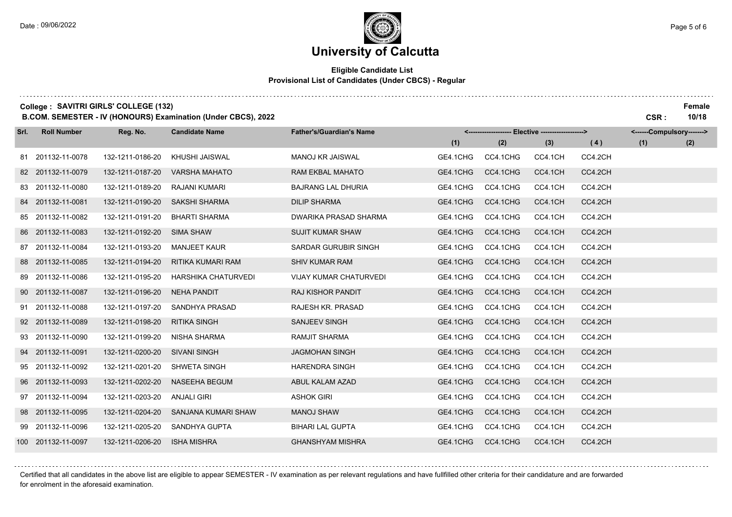#### **Eligible Candidate List Provisional List of Candidates (Under CBCS) - Regular**

**College :** SAVITRI GIRLS' COLLEGE (132) Female

**B.COM. SEMESTER - IV (HONOURS) Examination (Under CBCS), 2022 CSR : 10/18**

| Srl. | <b>Roll Number</b> | Reg. No.         | <b>Candidate Name</b>    | <b>Father's/Guardian's Name</b> |          | <------------------- Elective -------------------> |         |         | <------Compulsory-------> |     |
|------|--------------------|------------------|--------------------------|---------------------------------|----------|----------------------------------------------------|---------|---------|---------------------------|-----|
|      |                    |                  |                          |                                 | (1)      | (2)                                                | (3)     | (4)     | (1)                       | (2) |
|      | 81 201132-11-0078  | 132-1211-0186-20 | KHUSHI JAISWAL           | <b>MANOJ KR JAISWAL</b>         | GE4.1CHG | CC4.1CHG                                           | CC4.1CH | CC4.2CH |                           |     |
|      | 82 201132-11-0079  | 132-1211-0187-20 | <b>VARSHA MAHATO</b>     | RAM EKBAL MAHATO                | GE4.1CHG | CC4.1CHG                                           | CC4.1CH | CC4.2CH |                           |     |
|      | 83 201132-11-0080  | 132-1211-0189-20 | RAJANI KUMARI            | <b>BAJRANG LAL DHURIA</b>       | GE4.1CHG | CC4.1CHG                                           | CC4.1CH | CC4.2CH |                           |     |
|      | 84 201132-11-0081  | 132-1211-0190-20 | <b>SAKSHI SHARMA</b>     | <b>DILIP SHARMA</b>             | GE4.1CHG | CC4.1CHG                                           | CC4.1CH | CC4.2CH |                           |     |
|      | 85 201132-11-0082  | 132-1211-0191-20 | <b>BHARTI SHARMA</b>     | DWARIKA PRASAD SHARMA           | GE4.1CHG | CC4.1CHG                                           | CC4.1CH | CC4.2CH |                           |     |
|      | 86 201132-11-0083  | 132-1211-0192-20 | <b>SIMA SHAW</b>         | <b>SUJIT KUMAR SHAW</b>         | GE4.1CHG | CC4.1CHG                                           | CC4.1CH | CC4.2CH |                           |     |
|      | 87 201132-11-0084  | 132-1211-0193-20 | <b>MANJEET KAUR</b>      | SARDAR GURUBIR SINGH            | GE4.1CHG | CC4.1CHG                                           | CC4.1CH | CC4.2CH |                           |     |
|      | 88 201132-11-0085  | 132-1211-0194-20 | <b>RITIKA KUMARI RAM</b> | <b>SHIV KUMAR RAM</b>           | GE4.1CHG | CC4.1CHG                                           | CC4.1CH | CC4.2CH |                           |     |
|      | 89 201132-11-0086  | 132-1211-0195-20 | HARSHIKA CHATURVEDI      | <b>VIJAY KUMAR CHATURVEDI</b>   | GE4.1CHG | CC4.1CHG                                           | CC4.1CH | CC4.2CH |                           |     |
|      | 90 201132-11-0087  | 132-1211-0196-20 | <b>NEHA PANDIT</b>       | <b>RAJ KISHOR PANDIT</b>        | GE4.1CHG | CC4.1CHG                                           | CC4.1CH | CC4.2CH |                           |     |
|      | 91 201132-11-0088  | 132-1211-0197-20 | SANDHYA PRASAD           | RAJESH KR. PRASAD               | GE4.1CHG | CC4.1CHG                                           | CC4.1CH | CC4.2CH |                           |     |
|      | 92 201132-11-0089  | 132-1211-0198-20 | <b>RITIKA SINGH</b>      | SANJEEV SINGH                   | GE4.1CHG | CC4.1CHG                                           | CC4.1CH | CC4.2CH |                           |     |
|      | 93 201132-11-0090  | 132-1211-0199-20 | NISHA SHARMA             | <b>RAMJIT SHARMA</b>            | GE4.1CHG | CC4.1CHG                                           | CC4.1CH | CC4.2CH |                           |     |
|      | 94 201132-11-0091  | 132-1211-0200-20 | <b>SIVANI SINGH</b>      | <b>JAGMOHAN SINGH</b>           | GE4.1CHG | CC4.1CHG                                           | CC4.1CH | CC4.2CH |                           |     |
|      | 95 201132-11-0092  | 132-1211-0201-20 | SHWETA SINGH             | <b>HARENDRA SINGH</b>           | GE4.1CHG | CC4.1CHG                                           | CC4.1CH | CC4.2CH |                           |     |
|      | 96 201132-11-0093  | 132-1211-0202-20 | NASEEHA BEGUM            | ABUL KALAM AZAD                 | GE4.1CHG | CC4.1CHG                                           | CC4.1CH | CC4.2CH |                           |     |
|      | 97 201132-11-0094  | 132-1211-0203-20 | <b>ANJALI GIRI</b>       | <b>ASHOK GIRI</b>               | GE4.1CHG | CC4.1CHG                                           | CC4.1CH | CC4.2CH |                           |     |
|      | 98 201132-11-0095  | 132-1211-0204-20 | SANJANA KUMARI SHAW      | <b>MANOJ SHAW</b>               | GE4.1CHG | CC4.1CHG                                           | CC4.1CH | CC4.2CH |                           |     |
|      | 99 201132-11-0096  | 132-1211-0205-20 | SANDHYA GUPTA            | <b>BIHARI LAL GUPTA</b>         | GE4.1CHG | CC4.1CHG                                           | CC4.1CH | CC4.2CH |                           |     |
|      | 100 201132-11-0097 | 132-1211-0206-20 | <b>ISHA MISHRA</b>       | <b>GHANSHYAM MISHRA</b>         | GE4.1CHG | CC4.1CHG                                           | CC4.1CH | CC4.2CH |                           |     |

Certified that all candidates in the above list are eligible to appear SEMESTER - IV examination as per relevant regulations and have fullfilled other criteria for their candidature and are forwarded for enrolment in the aforesaid examination.